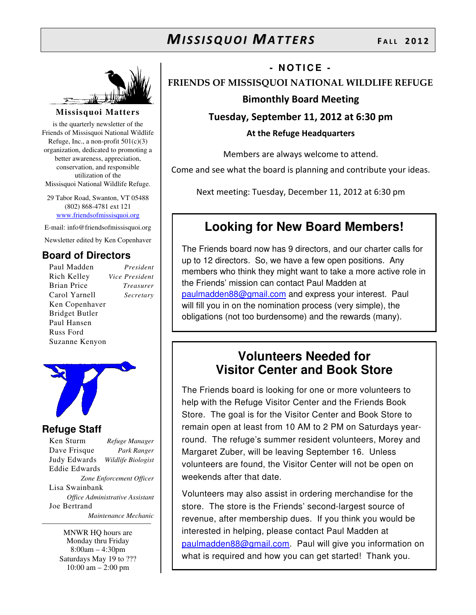

### **Missisquoi Matters**

is the quarterly newsletter of the Friends of Missisquoi National Wildlife Refuge, Inc., a non-profit  $501(c)(3)$ organization, dedicated to promoting a better awareness, appreciation, conservation, and responsible utilization of the Missisquoi National Wildlife Refuge.

29 Tabor Road, Swanton, VT 05488 (802) 868-4781 ext 121 www.friendsofmissisquoi.org

E-mail: info@friendsofmissisquoi.org Newsletter edited by Ken Copenhaver

### **Board of Directors**

Paul Madden *President* Rich Kelley *Vice President* Brian Price *Treasurer* Carol Yarnell *Secretary* Ken Copenhaver Bridget Butler Paul Hansen Russ Ford Suzanne Kenyon



### **Refuge Staff**

Ken Sturm *Refuge Manager* Dave Frisque *Park Ranger* Judy Edwards *Wildlife Biologist* Eddie Edwards *Zone Enforcement Officer* Lisa Swainbank *Office Administrative Assistant*  Joe Bertrand  *Maintenance Mechanic*

MNWR HQ hours are Monday thru Friday 8:00am – 4:30pm Saturdays May 19 to ??? 10:00 am – 2:00 pm

### **- N O T I C E -**

FRIENDS OF MISSISQUOI NATIONAL WILDLIFE REFUGE

### Bimonthly Board Meeting

Tuesday, September 11, 2012 at 6:30 pm

At the Refuge Headquarters

Members are always welcome to attend.

Come and see what the board is planning and contribute your ideas.

Next meeting: Tuesday, December 11, 2012 at 6:30 pm

## **Looking for New Board Members!**

The Friends board now has 9 directors, and our charter calls for up to 12 directors. So, we have a few open positions. Any members who think they might want to take a more active role in the Friends' mission can contact Paul Madden at paulmadden88@gmail.com and express your interest. Paul will fill you in on the nomination process (very simple), the obligations (not too burdensome) and the rewards (many).

## **Volunteers Needed for Visitor Center and Book Store**

The Friends board is looking for one or more volunteers to help with the Refuge Visitor Center and the Friends Book Store. The goal is for the Visitor Center and Book Store to remain open at least from 10 AM to 2 PM on Saturdays yearround. The refuge's summer resident volunteers, Morey and Margaret Zuber, will be leaving September 16. Unless volunteers are found, the Visitor Center will not be open on weekends after that date.

Volunteers may also assist in ordering merchandise for the store. The store is the Friends' second-largest source of revenue, after membership dues. If you think you would be interested in helping, please contact Paul Madden at paulmadden88@gmail.com. Paul will give you information on what is required and how you can get started! Thank you.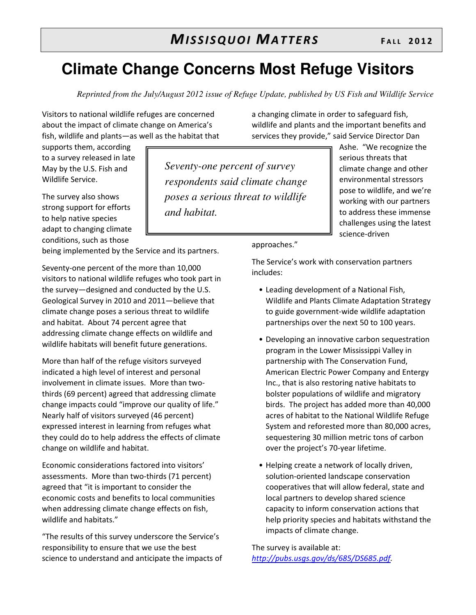# **Climate Change Concerns Most Refuge Visitors**

*Seventy-one percent of survey* 

*and habitat.* 

*respondents said climate change poses a serious threat to wildlife* 

*Reprinted from the July/August 2012 issue of Refuge Update, published by US Fish and Wildlife Service* 

Visitors to national wildlife refuges are concerned about the impact of climate change on America's fish, wildlife and plants—as well as the habitat that

supports them, according to a survey released in late May by the U.S. Fish and Wildlife Service.

The survey also shows strong support for efforts to help native species adapt to changing climate conditions, such as those

being implemented by the Service and its partners.

Seventy-one percent of the more than 10,000 visitors to national wildlife refuges who took part in the survey—designed and conducted by the U.S. Geological Survey in 2010 and 2011—believe that climate change poses a serious threat to wildlife and habitat. About 74 percent agree that addressing climate change effects on wildlife and wildlife habitats will benefit future generations.

More than half of the refuge visitors surveyed indicated a high level of interest and personal involvement in climate issues. More than twothirds (69 percent) agreed that addressing climate change impacts could "improve our quality of life." Nearly half of visitors surveyed (46 percent) expressed interest in learning from refuges what they could do to help address the effects of climate change on wildlife and habitat.

Economic considerations factored into visitors' assessments. More than two-thirds (71 percent) agreed that "it is important to consider the economic costs and benefits to local communities when addressing climate change effects on fish, wildlife and habitats."

"The results of this survey underscore the Service's responsibility to ensure that we use the best science to understand and anticipate the impacts of a changing climate in order to safeguard fish, wildlife and plants and the important benefits and services they provide," said Service Director Dan

> Ashe. "We recognize the serious threats that climate change and other environmental stressors pose to wildlife, and we're working with our partners to address these immense challenges using the latest science-driven

approaches."

The Service's work with conservation partners includes:

- Leading development of a National Fish, Wildlife and Plants Climate Adaptation Strategy to guide government-wide wildlife adaptation partnerships over the next 50 to 100 years.
- Developing an innovative carbon sequestration program in the Lower Mississippi Valley in partnership with The Conservation Fund, American Electric Power Company and Entergy Inc., that is also restoring native habitats to bolster populations of wildlife and migratory birds. The project has added more than 40,000 acres of habitat to the National Wildlife Refuge System and reforested more than 80,000 acres, sequestering 30 million metric tons of carbon over the project's 70-year lifetime.
- Helping create a network of locally driven, solution-oriented landscape conservation cooperatives that will allow federal, state and local partners to develop shared science capacity to inform conservation actions that help priority species and habitats withstand the impacts of climate change.

The survey is available at: http://pubs.usgs.gov/ds/685/DS685.pdf.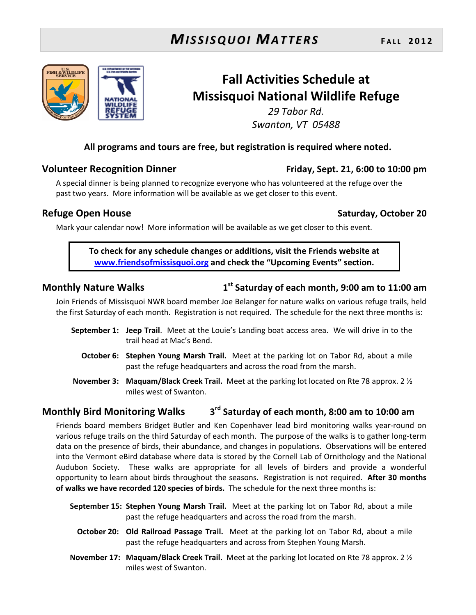

## Fall Activities Schedule at Missisquoi National Wildlife Refuge

29 Tabor Rd. Swanton, VT 05488

### All programs and tours are free, but registration is required where noted.

### Volunteer Recognition Dinner Friday, Sept. 21, 6:00 to 10:00 pm

A special dinner is being planned to recognize everyone who has volunteered at the refuge over the past two years. More information will be available as we get closer to this event.

### Refuge Open House Saturday, October 20

Mark your calendar now! More information will be available as we get closer to this event.

To check for any schedule changes or additions, visit the Friends website at www.friendsofmissisquoi.org and check the "Upcoming Events" section.

### Monthly Nature Walks 1

### $1<sup>st</sup>$  Saturday of each month, 9:00 am to 11:00 am

Join Friends of Missisquoi NWR board member Joe Belanger for nature walks on various refuge trails, held the first Saturday of each month. Registration is not required. The schedule for the next three months is:

- September 1: Jeep Trail. Meet at the Louie's Landing boat access area. We will drive in to the trail head at Mac's Bend.
	- October 6: Stephen Young Marsh Trail. Meet at the parking lot on Tabor Rd, about a mile past the refuge headquarters and across the road from the marsh.
- November 3: Maquam/Black Creek Trail. Meet at the parking lot located on Rte 78 approx. 2  $\frac{1}{2}$ miles west of Swanton.

### Monthly Bird Monitoring Walks 3 3<sup>rd</sup> Saturday of each month, 8:00 am to 10:00 am

Friends board members Bridget Butler and Ken Copenhaver lead bird monitoring walks year-round on various refuge trails on the third Saturday of each month. The purpose of the walks is to gather long-term data on the presence of birds, their abundance, and changes in populations. Observations will be entered into the Vermont eBird database where data is stored by the Cornell Lab of Ornithology and the National Audubon Society. These walks are appropriate for all levels of birders and provide a wonderful opportunity to learn about birds throughout the seasons. Registration is not required. After 30 months of walks we have recorded 120 species of birds. The schedule for the next three months is:

- September 15: Stephen Young Marsh Trail. Meet at the parking lot on Tabor Rd, about a mile past the refuge headquarters and across the road from the marsh.
	- October 20: Old Railroad Passage Trail. Meet at the parking lot on Tabor Rd, about a mile past the refuge headquarters and across from Stephen Young Marsh.
- November 17: Maquam/Black Creek Trail. Meet at the parking lot located on Rte 78 approx. 2  $\frac{1}{2}$ miles west of Swanton.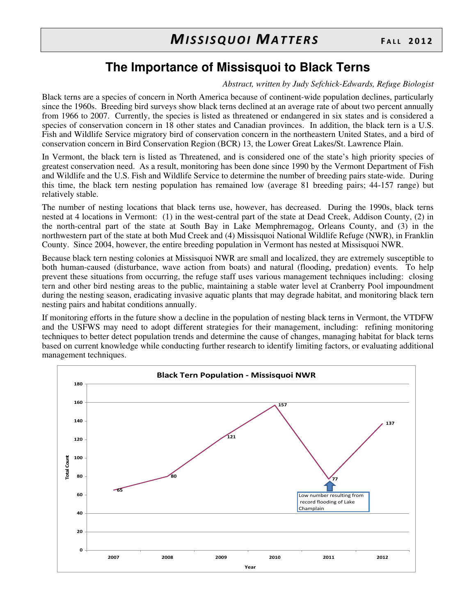## **The Importance of Missisquoi to Black Terns**

*Abstract, written by Judy Sefchick-Edwards, Refuge Biologist* 

Black terns are a species of concern in North America because of continent-wide population declines, particularly since the 1960s. Breeding bird surveys show black terns declined at an average rate of about two percent annually from 1966 to 2007. Currently, the species is listed as threatened or endangered in six states and is considered a species of conservation concern in 18 other states and Canadian provinces. In addition, the black tern is a U.S. Fish and Wildlife Service migratory bird of conservation concern in the northeastern United States, and a bird of conservation concern in Bird Conservation Region (BCR) 13, the Lower Great Lakes/St. Lawrence Plain.

In Vermont, the black tern is listed as Threatened, and is considered one of the state's high priority species of greatest conservation need. As a result, monitoring has been done since 1990 by the Vermont Department of Fish and Wildlife and the U.S. Fish and Wildlife Service to determine the number of breeding pairs state-wide. During this time, the black tern nesting population has remained low (average 81 breeding pairs; 44-157 range) but relatively stable.

The number of nesting locations that black terns use, however, has decreased. During the 1990s, black terns nested at 4 locations in Vermont: (1) in the west-central part of the state at Dead Creek, Addison County, (2) in the north-central part of the state at South Bay in Lake Memphremagog, Orleans County, and (3) in the northwestern part of the state at both Mud Creek and (4) Missisquoi National Wildlife Refuge (NWR), in Franklin County. Since 2004, however, the entire breeding population in Vermont has nested at Missisquoi NWR.

Because black tern nesting colonies at Missisquoi NWR are small and localized, they are extremely susceptible to both human-caused (disturbance, wave action from boats) and natural (flooding, predation) events. To help prevent these situations from occurring, the refuge staff uses various management techniques including: closing tern and other bird nesting areas to the public, maintaining a stable water level at Cranberry Pool impoundment during the nesting season, eradicating invasive aquatic plants that may degrade habitat, and monitoring black tern nesting pairs and habitat conditions annually.

If monitoring efforts in the future show a decline in the population of nesting black terns in Vermont, the VTDFW and the USFWS may need to adopt different strategies for their management, including: refining monitoring techniques to better detect population trends and determine the cause of changes, managing habitat for black terns based on current knowledge while conducting further research to identify limiting factors, or evaluating additional management techniques.

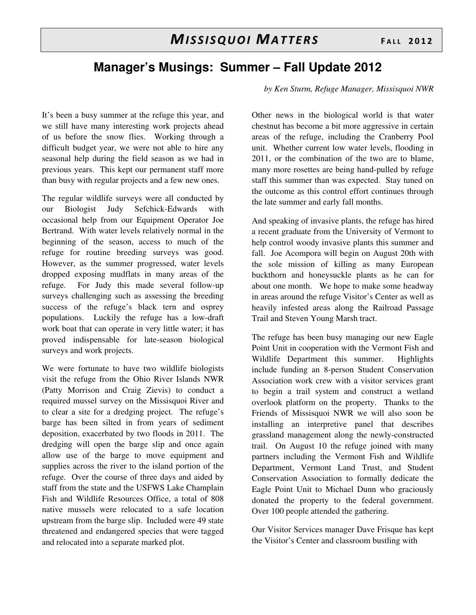### **Manager's Musings: Summer – Fall Update 2012**

It's been a busy summer at the refuge this year, and we still have many interesting work projects ahead of us before the snow flies. Working through a difficult budget year, we were not able to hire any seasonal help during the field season as we had in previous years. This kept our permanent staff more than busy with regular projects and a few new ones.

The regular wildlife surveys were all conducted by our Biologist Judy Sefchick-Edwards with occasional help from our Equipment Operator Joe Bertrand. With water levels relatively normal in the beginning of the season, access to much of the refuge for routine breeding surveys was good. However, as the summer progressed, water levels dropped exposing mudflats in many areas of the refuge. For Judy this made several follow-up surveys challenging such as assessing the breeding success of the refuge's black tern and osprey populations. Luckily the refuge has a low-draft work boat that can operate in very little water; it has proved indispensable for late-season biological surveys and work projects.

We were fortunate to have two wildlife biologists visit the refuge from the Ohio River Islands NWR (Patty Morrison and Craig Zievis) to conduct a required mussel survey on the Missisquoi River and to clear a site for a dredging project. The refuge's barge has been silted in from years of sediment deposition, exacerbated by two floods in 2011. The dredging will open the barge slip and once again allow use of the barge to move equipment and supplies across the river to the island portion of the refuge. Over the course of three days and aided by staff from the state and the USFWS Lake Champlain Fish and Wildlife Resources Office, a total of 808 native mussels were relocated to a safe location upstream from the barge slip. Included were 49 state threatened and endangered species that were tagged and relocated into a separate marked plot.

*by Ken Sturm, Refuge Manager, Missisquoi NWR* 

Other news in the biological world is that water chestnut has become a bit more aggressive in certain areas of the refuge, including the Cranberry Pool unit. Whether current low water levels, flooding in 2011, or the combination of the two are to blame, many more rosettes are being hand-pulled by refuge staff this summer than was expected. Stay tuned on the outcome as this control effort continues through the late summer and early fall months.

And speaking of invasive plants, the refuge has hired a recent graduate from the University of Vermont to help control woody invasive plants this summer and fall. Joe Acompora will begin on August 20th with the sole mission of killing as many European buckthorn and honeysuckle plants as he can for about one month. We hope to make some headway in areas around the refuge Visitor's Center as well as heavily infested areas along the Railroad Passage Trail and Steven Young Marsh tract.

The refuge has been busy managing our new Eagle Point Unit in cooperation with the Vermont Fish and Wildlife Department this summer. Highlights include funding an 8-person Student Conservation Association work crew with a visitor services grant to begin a trail system and construct a wetland overlook platform on the property. Thanks to the Friends of Missisquoi NWR we will also soon be installing an interpretive panel that describes grassland management along the newly-constructed trail. On August 10 the refuge joined with many partners including the Vermont Fish and Wildlife Department, Vermont Land Trust, and Student Conservation Association to formally dedicate the Eagle Point Unit to Michael Dunn who graciously donated the property to the federal government. Over 100 people attended the gathering.

Our Visitor Services manager Dave Frisque has kept the Visitor's Center and classroom bustling with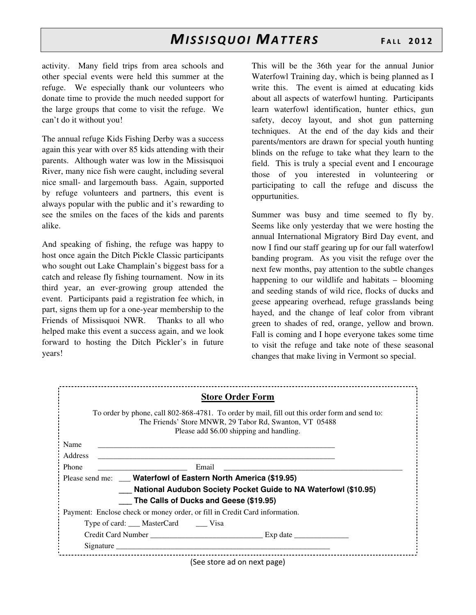activity. Many field trips from area schools and other special events were held this summer at the refuge. We especially thank our volunteers who donate time to provide the much needed support for the large groups that come to visit the refuge. We can't do it without you!

The annual refuge Kids Fishing Derby was a success again this year with over 85 kids attending with their parents. Although water was low in the Missisquoi River, many nice fish were caught, including several nice small- and largemouth bass. Again, supported by refuge volunteers and partners, this event is always popular with the public and it's rewarding to see the smiles on the faces of the kids and parents alike.

And speaking of fishing, the refuge was happy to host once again the Ditch Pickle Classic participants who sought out Lake Champlain's biggest bass for a catch and release fly fishing tournament. Now in its third year, an ever-growing group attended the event. Participants paid a registration fee which, in part, signs them up for a one-year membership to the Friends of Missisquoi NWR. Thanks to all who helped make this event a success again, and we look forward to hosting the Ditch Pickler's in future years!

This will be the 36th year for the annual Junior Waterfowl Training day, which is being planned as I write this. The event is aimed at educating kids about all aspects of waterfowl hunting. Participants learn waterfowl identification, hunter ethics, gun safety, decoy layout, and shot gun patterning techniques. At the end of the day kids and their parents/mentors are drawn for special youth hunting blinds on the refuge to take what they learn to the field. This is truly a special event and I encourage those of you interested in volunteering or participating to call the refuge and discuss the oppurtunities.

Summer was busy and time seemed to fly by. Seems like only yesterday that we were hosting the annual International Migratory Bird Day event, and now I find our staff gearing up for our fall waterfowl banding program. As you visit the refuge over the next few months, pay attention to the subtle changes happening to our wildlife and habitats – blooming and seeding stands of wild rice, flocks of ducks and geese appearing overhead, refuge grasslands being hayed, and the change of leaf color from vibrant green to shades of red, orange, yellow and brown. Fall is coming and I hope everyone takes some time to visit the refuge and take note of these seasonal changes that make living in Vermont so special.

| <b>Store Order Form</b>                                                                                                                                                                                                        |
|--------------------------------------------------------------------------------------------------------------------------------------------------------------------------------------------------------------------------------|
| To order by phone, call 802-868-4781. To order by mail, fill out this order form and send to:<br>The Friends' Store MNWR, 29 Tabor Rd, Swanton, VT 05488<br>Please add \$6.00 shipping and handling.                           |
| Name                                                                                                                                                                                                                           |
| Address                                                                                                                                                                                                                        |
| <b>Phone</b><br>Email                                                                                                                                                                                                          |
| Please send me: ___ Waterfowl of Eastern North America (\$19.95)                                                                                                                                                               |
| National Audubon Society Pocket Guide to NA Waterfowl (\$10.95)                                                                                                                                                                |
| The Calls of Ducks and Geese (\$19.95)                                                                                                                                                                                         |
| Payment: Enclose check or money order, or fill in Credit Card information.                                                                                                                                                     |
| Type of card: MasterCard Visa                                                                                                                                                                                                  |
|                                                                                                                                                                                                                                |
| Signature Signature Signature Signature Signature Signature Signature Signature Signature Signature Signature Signature Signature Signature Signature Signature Signature Signature Signature Signature Signature Signature Si |
| $(500 \text{ strans} \cdot 200 \text{ sr} \cdot 200)$                                                                                                                                                                          |

(See store ad on next page)